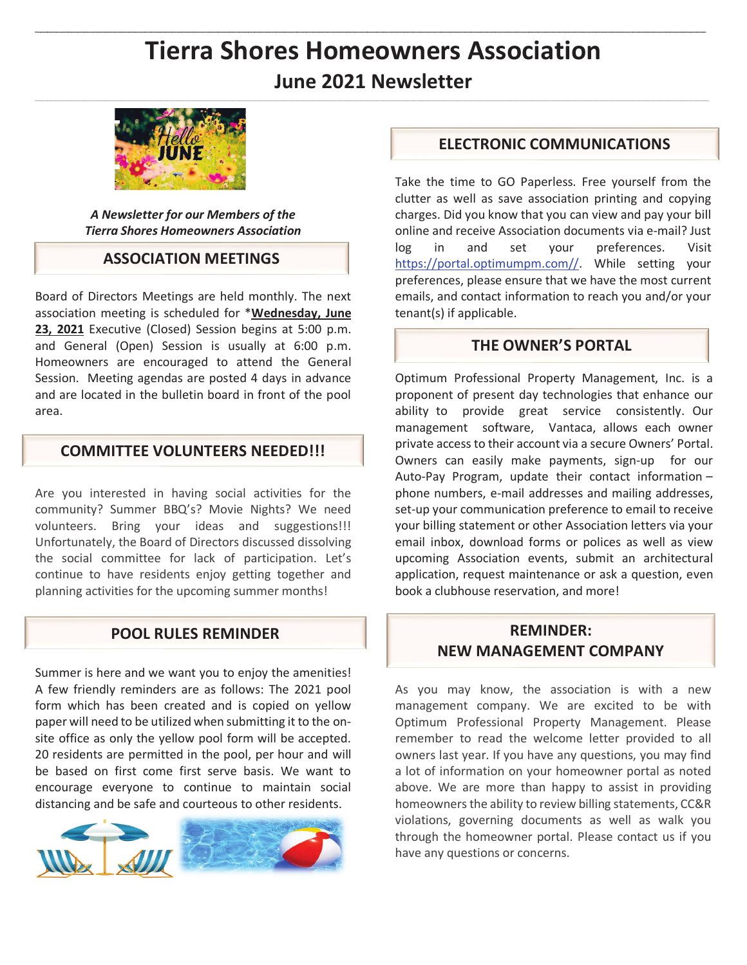# **Tierra Shores Homeowners Association June 2021 Newsletter**



*A Newsletter for our Members of the Tierra Shores Homeowners Association* 

## **ASSOCIATION MEETINGS**

Board of Directors Meetings are held monthly. The next association meeting is scheduled for \***Wednesday, June 23, 2021** Executive (Closed) Session begins at 5:00 p.m. and General (Open) Session is usually at 6:00 p.m. Homeowners are encouraged to attend the General Session. Meeting agendas are posted 4 days in advance and are located in the bulletin board in front of the pool area.

# **COMMITTEE VOLUNTEERS NEEDED!!!**

Are you interested in having social activities for the community? Summer BBQ's? Movie Nights? We need volunteers. Bring your ideas and suggestions!!! Unfortunately, the Board of Directors discussed dissolving the social committee for lack of participation. Let's continue to have residents enjoy getting together and planning activities for the upcoming summer months!

## **POOL RULES REMINDER**

Summer is here and we want you to enjoy the amenities! A few friendly reminders are as follows: The 2021 pool form which has been created and is copied on yellow paper will need to be utilized when submitting it to the onsite office as only the yellow pool form will be accepted. 20 residents are permitted in the pool, per hour and will be based on first come first serve basis. We want to encourage everyone to continue to maintain social distancing and be safe and courteous to other residents.



# **ELECTRONIC COMMUNICATIONS**

Take the time to GO Paperless. Free yourself from the clutter as well as save association printing and copying charges. Did you know that you can view and pay your bill online and receive Association documents via e-mail? Just log in and set your preferences. Visit https://portal.optimumpm.com//. While setting your preferences, please ensure that we have the most current emails, and contact information to reach you and/or your tenant(s) if applicable.

## **THE OWNER'S PORTAL**

Optimum Professional Property Management, Inc. is a proponent of present day technologies that enhance our ability to provide great service consistently. Our management software, Vantaca, allows each owner private access to their account via a secure Owners' Portal. Owners can easily make payments, sign-up for our Auto-Pay Program, update their contact information – phone numbers, e-mail addresses and mailing addresses, set-up your communication preference to email to receive your billing statement or other Association letters via your email inbox, download forms or polices as well as view upcoming Association events, submit an architectural application, request maintenance or ask a question, even book a clubhouse reservation, and more!

# **REMINDER: NEW MANAGEMENT COMPANY**

As you may know, the association is with a new management company. We are excited to be with Optimum Professional Property Management. Please remember to read the welcome letter provided to all owners last year. If you have any questions, you may find a lot of information on your homeowner portal as noted above. We are more than happy to assist in providing homeowners the ability to review billing statements, CC&R violations, governing documents as well as walk you through the homeowner portal. Please contact us if you have any questions or concerns.